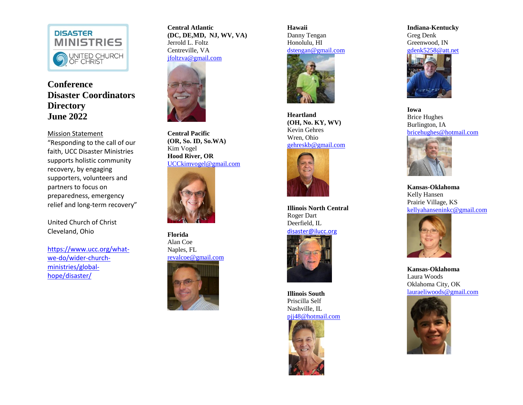

## **Conference Disaster Coordinators Directory June 2022**

Mission Statement "Responding to the call of our faith, UCC Disaster Ministries supports holistic community recovery, by engaging supporters, volunteers and partners to focus on preparedness, emergency relief and long -term recovery"

United Church of Christ Cleveland, Ohio

[https://www.ucc.org/what](https://www.ucc.org/what-we-do/wider-church-ministries/global-hope/disaster/) we [-do/wider](https://www.ucc.org/what-we-do/wider-church-ministries/global-hope/disaster/) -church [ministries/global](https://www.ucc.org/what-we-do/wider-church-ministries/global-hope/disaster/) [hope/disaster/](https://www.ucc.org/what-we-do/wider-church-ministries/global-hope/disaster/)

**Central Atlantic (DC, DE,MD, NJ, WV, VA)** Jerrold L. Foltz Centreville, VA [jfoltzva@gmail.com](mailto:jfoltzva@gmail.com)



**Central Pacific (OR, S o . ID, So.WA )** Kim Vogel **Hood River, OR** [UCCkimvogel@gmail.com](mailto:UCCkimvogel@gmail.com)



**Florida**  Alan Coe Naples, FL [revalcoe@gmail.com](mailto:revalcoe@gmail.com)



**Hawaii** Danny Tengan Honolulu, HI [dstengan@gmail.com](mailto:dstengan@gmail.com)



**Heartland (OH, No. KY, WV)** Kevin Gehres Wren, Ohio [gehreskb@gmail.com](mailto:gehreskb@gmail.com)



**Illinois North Central** Roger Dart Deerfield, IL [disaster@ilucc.org](mailto:disaster@ilucc.org)



**Illinois South** Priscilla Self Nashville, IL [pjj48@hotmail.com](mailto:pjj48@hotmail.com)



**Indiana -Kentucky** Greg Denk Greenwood, IN



**Iowa** Brice Hughes Burlington, IA [bricehughes@hotmail.com](mailto:bricehughes@hotmail.com)



**Kansas -Oklahoma** Kelly Hansen Prairie Village, KS [kellyahanseninkc@gmail.com](mailto:kellyahanseninkc@gmail.com)



**Kansas -Oklahoma** Laura Woods Oklahoma City, OK [lauraeliwoods@gmail.com](mailto:lauraeliwoods@gmail.com)

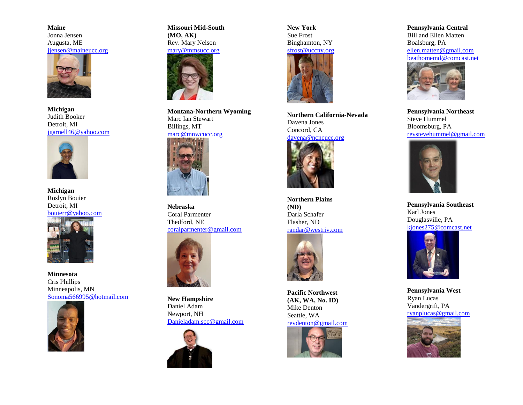**Maine** Jonna Jensen Augusta, ME [jjensen@maineucc.org](mailto:jjensen@maineucc.org)



**Michigan** Judith Booker Detroit, MI [jgarnell46@yahoo.com](mailto:jgarnell46@yahoo.com)



**Michigan** Roslyn Bouier Detroit, MI [bouierr@yahoo.com](mailto:bouierr@yahoo.com)



**Minnesota** Cris Phillips Minneapolis, MN [Sonoma566995@hotmail.com](mailto:Sonoma566995@hotmail.com)



**Missouri Mid-South (MO, AK)** Rev. Mary Nelson



**Montana-Northern Wyoming** Marc Ian Stewart Billings, MT



**Nebraska** Coral Parmenter Thedford, NE [coralparmenter@gmail.com](mailto:coralparmenter@gmail.com)



**New Hampshire** Daniel Adam Newport, NH [Danieladam.scc@gmail.com](mailto:Danieladam.scc@gmail.com)



**New York** Sue Frost Binghamton, NY



**Northern California-Nevada** Davena Jones Concord, CA



**Northern Plains (ND)** Darla Schafer Flasher, ND [randar@westriv.com](mailto:randar@westriv.com)



**Pacific Northwest (AK, WA, No. ID)** Mike Denton Seattle, WA



**Pennsylvania Central** Bill and Ellen Matten Boalsburg, PA [ellen.matten@gmail.com](mailto:ellen.matten@gmail.com) [beathomemd@comcast.net](mailto:beathomemd@comcast.net)



**Pennsylvania Northeast** Steve Hummel Bloomsburg, PA [revstevehummel@gmail.com](mailto:revstevehummel@gmail.com)



**Pennsylvania Southeast** Karl Jones Douglasville, PA [kjones275@comcast.net](mailto:kjones275@comcast.net)



**Pennsylvania West** Ryan Lucas Vandergrift, PA [ryanplucas@gmail.com](mailto:ryanplucas@gmail.com)

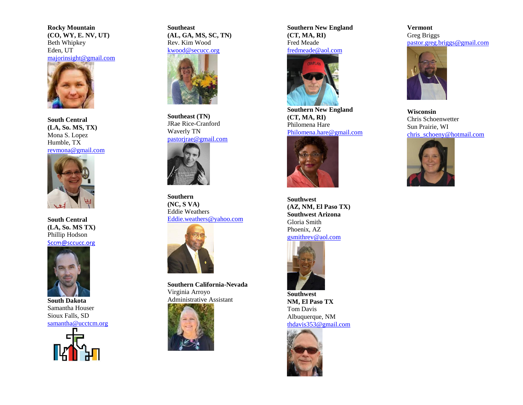**Rocky Mountain (CO, WY, E. NV, UT)** Beth Whipkey Eden, UT [majorinsight@gmail.com](mailto:majorinsight@gmail.com)



**South Central (LA, So. MS, TX)** Mona S. Lopez Humble, TX [revmona@gmail.com](mailto:revmona@gmail.com)



**South Central (LA, So. MS TX)** Phillip Hodson [Sccm@sccucc.org](mailto:Sccm@sccucc.org)



**South Dakota** Samantha Houser Sioux Falls, SD [samantha@ucctcm.org](mailto:samantha@ucctcm.org)



**Southeast (AL, GA, MS, SC, TN)** Rev. Kim Wood



**Southeast (TN)** JRae Rice-Cranford Waverly TN [pastorjrae@gmail.com](mailto:pastorjrae@gmail.com)



**Southern (NC, S VA)** Eddie Weathers [Eddie.weathers@yahoo.com](mailto:Eddie.weathers@yahoo.com)



**Southern California-Nevada** Virginia Arroyo Administrative Assistant



**Southern New England (CT, MA, RI)** Fred Meade [fredmeade@aol.com](mailto:fredmeade@aol.com)



**Southern New England (CT, MA, RI)** Philomena Hare [Philomena.hare@gmail.com](mailto:Philomena.hare@gmail.com)



**Southwest (AZ, NM, El Paso TX) Southwest Arizona** Gloria Smith Phoenix, AZ

[gsmithrev@aol.com](mailto:gsmithrev@aol.com)



**Southwest NM, El Paso TX** Tom Davis Albuquerque, NM [thdavis353@gmail.com](mailto:thdavis353@gmail.com)



**Vermont** Greg Briggs [pastor.greg.briggs@gmail.com](mailto:pastor.greg.briggs@gmail.com)



**Wisconsin** Chris Schoenwetter Sun Prairie, WI [chris\\_schoeny@hotmail.com](mailto:chris_schoeny@hotmail.com)